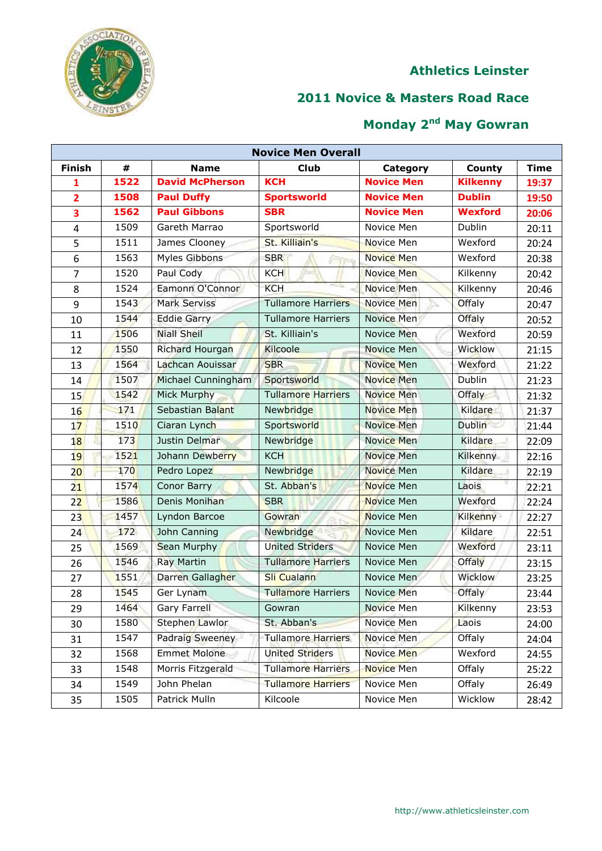

## **Novice & Masters Road Race**

|                         | <b>Novice Men Overall</b> |                        |                           |                   |                 |             |  |  |  |
|-------------------------|---------------------------|------------------------|---------------------------|-------------------|-----------------|-------------|--|--|--|
| <b>Finish</b>           | #                         | <b>Name</b>            | <b>Club</b>               | Category          | County          | <b>Time</b> |  |  |  |
| $\mathbf{1}$            | 1522                      | <b>David McPherson</b> | <b>KCH</b>                | <b>Novice Men</b> | <b>Kilkenny</b> | 19:37       |  |  |  |
| $\overline{2}$          | 1508                      | <b>Paul Duffy</b>      | <b>Sportsworld</b>        | <b>Novice Men</b> | <b>Dublin</b>   | 19:50       |  |  |  |
| $\overline{\mathbf{3}}$ | 1562                      | <b>Paul Gibbons</b>    | <b>SBR</b>                | <b>Novice Men</b> | <b>Wexford</b>  | 20:06       |  |  |  |
| $\overline{4}$          | 1509                      | Gareth Marrao          | Sportsworld               | Novice Men        | Dublin          | 20:11       |  |  |  |
| 5                       | 1511                      | James Clooney          | St. Killiain's            | Novice Men        | Wexford         | 20:24       |  |  |  |
| 6                       | 1563                      | Myles Gibbons          | <b>SBR</b>                | <b>Novice Men</b> | Wexford         | 20:38       |  |  |  |
| $\overline{7}$          | 1520                      | Paul Cody              | <b>KCH</b>                | Novice Men        | Kilkenny        | 20:42       |  |  |  |
| 8                       | 1524                      | Eamonn O'Connor        | <b>KCH</b>                | <b>Novice Men</b> | Kilkenny        | 20:46       |  |  |  |
| 9                       | 1543                      | <b>Mark Serviss</b>    | <b>Tullamore Harriers</b> | <b>Novice Men</b> | Offaly          | 20:47       |  |  |  |
| 10                      | 1544                      | <b>Eddie Garry</b>     | <b>Tullamore Harriers</b> | Novice Men        | Offaly          | 20:52       |  |  |  |
| 11                      | 1506                      | <b>Niall Sheil</b>     | St. Killiain's            | Novice Men        | Wexford         | 20:59       |  |  |  |
| 12                      | 1550                      | <b>Richard Hourgan</b> | Kilcoole                  | <b>Novice Men</b> | Wicklow         | 21:15       |  |  |  |
| 13                      | 1564                      | Lachcan Aouissar       | <b>SBR</b>                | <b>Novice Men</b> | Wexford         | 21:22       |  |  |  |
| 14                      | 1507                      | Michael Cunningham     | Sportsworld               | <b>Novice Men</b> | Dublin          | 21:23       |  |  |  |
| 15                      | 1542                      | <b>Mick Murphy</b>     | <b>Tullamore Harriers</b> | Novice Men        | Offaly          | 21:32       |  |  |  |
| 16                      | 171                       | Sebastian Balant       | Newbridge                 | <b>Novice Men</b> | Kildare         | 21:37       |  |  |  |
| 17                      | 1510                      | Ciaran Lynch           | Sportsworld               | <b>Novice Men</b> | <b>Dublin</b>   | 21:44       |  |  |  |
| 18                      | 173                       | Justin Delmar          | Newbridge                 | <b>Novice Men</b> | Kildare         | 22:09       |  |  |  |
| 19                      | 1521                      | Johann Dewberry        | <b>KCH</b>                | <b>Novice Men</b> | Kilkenny        | 22:16       |  |  |  |
| 20 <sub>2</sub>         | 170                       | Pedro Lopez            | Newbridge                 | <b>Novice Men</b> | Kildare         | 22:19       |  |  |  |
| 21                      | 1574                      | Conor Barry            | St. Abban's               | <b>Novice Men</b> | Laois           | 22:21       |  |  |  |
| 22                      | 1586                      | Denis Monihan          | <b>SBR</b>                | <b>Novice Men</b> | Wexford         | 22:24       |  |  |  |
| 23                      | 1457                      | Lyndon Barcoe          | Gowran                    | <b>Novice Men</b> | Kilkenny        | 22:27       |  |  |  |
| 24                      | 172                       | John Canning           | Newbridge                 | Novice Men        | Kildare         | 22:51       |  |  |  |
| 25                      | 1569                      | Sean Murphy            | <b>United Striders</b>    | Novice Men        | Wexford         | 23:11       |  |  |  |
| 26                      | 1546                      | <b>Ray Martin</b>      | <b>Tullamore Harriers</b> | Novice Men        | Offaly          | 23:15       |  |  |  |
| 27                      | 1551                      | Darren Gallagher       | <b>Sli Cualann</b>        | Novice Men        | <b>Wicklow</b>  | 23:25       |  |  |  |
| 28                      | 1545                      | Ger Lynam              | <b>Tullamore Harriers</b> | <b>Novice Men</b> | Offaly          | 23:44       |  |  |  |
| 29                      | 1464                      | Gary Farrell           | Gowran                    | <b>Novice Men</b> | Kilkenny        | 23:53       |  |  |  |
| 30                      | 1580                      | Stephen Lawlor         | St. Abban's               | Novice Men        | Laois           | 24:00       |  |  |  |
| 31                      | 1547                      | Padraig Sweeney        | <b>Tullamore Harriers</b> | Novice Men        | Offaly          | 24:04       |  |  |  |
| 32                      | 1568                      | <b>Emmet Molone</b>    | <b>United Striders</b>    | <b>Novice Men</b> | Wexford         | 24:55       |  |  |  |
| 33                      | 1548                      | Morris Fitzgerald      | <b>Tullamore Harriers</b> | Novice Men        | Offaly          | 25:22       |  |  |  |
| 34                      | 1549                      | John Phelan            | <b>Tullamore Harriers</b> | Novice Men        | Offaly          | 26:49       |  |  |  |
| 35                      | 1505                      | Patrick Mulln          | Kilcoole                  | Novice Men        | Wicklow         | 28:42       |  |  |  |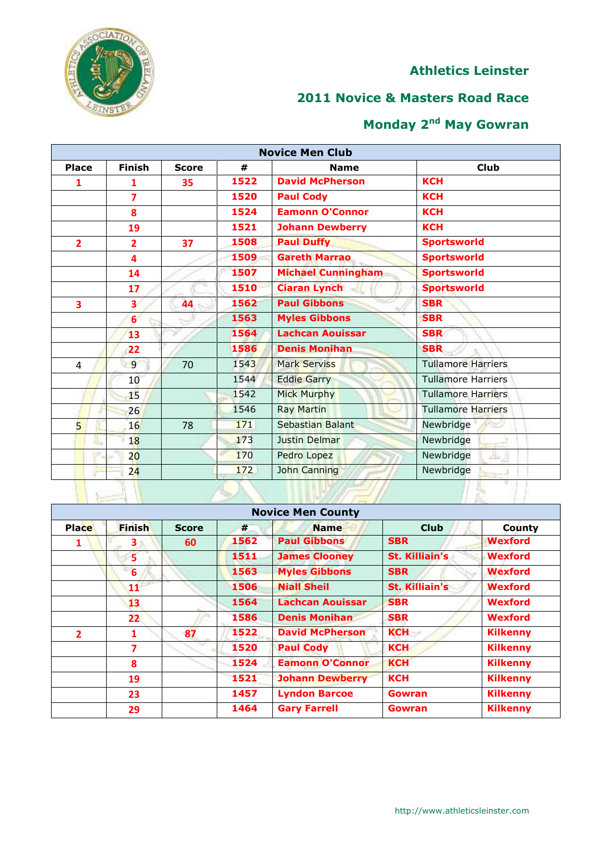# CIAT<sub>7</sub>

#### **Athletics Leinster**

## **Novice & Masters Road Race**

| <b>Novice Men Club</b>  |                  |              |      |                           |                           |  |  |  |
|-------------------------|------------------|--------------|------|---------------------------|---------------------------|--|--|--|
| <b>Place</b>            | <b>Finish</b>    | <b>Score</b> | #    | <b>Name</b>               | <b>Club</b>               |  |  |  |
| 1                       | 1                | 35           | 1522 | <b>David McPherson</b>    | <b>KCH</b>                |  |  |  |
|                         | $\overline{7}$   |              | 1520 | <b>Paul Cody</b>          | <b>KCH</b>                |  |  |  |
|                         | 8                |              | 1524 | <b>Eamonn O'Connor</b>    | <b>KCH</b>                |  |  |  |
|                         | 19               |              | 1521 | <b>Johann Dewberry</b>    | <b>KCH</b>                |  |  |  |
| $\overline{2}$          | $\overline{2}$   | 37           | 1508 | <b>Paul Duffy</b>         | <b>Sportsworld</b>        |  |  |  |
|                         | 4                |              | 1509 | <b>Gareth Marrao</b>      | <b>Sportsworld</b>        |  |  |  |
|                         | 14               |              | 1507 | <b>Michael Cunningham</b> | <b>Sportsworld</b>        |  |  |  |
|                         | 17               |              | 1510 | <b>Ciaran Lynch</b>       | <b>Sportsworld</b>        |  |  |  |
| $\overline{\mathbf{3}}$ | $\mathbf{3}$     | 44           | 1562 | <b>Paul Gibbons</b>       | <b>SBR</b>                |  |  |  |
|                         | $6 \overline{6}$ |              | 1563 | <b>Myles Gibbons</b>      | <b>SBR</b>                |  |  |  |
|                         | 13               |              | 1564 | <b>Lachcan Aouissar</b>   | <b>SBR</b>                |  |  |  |
|                         | 22               |              | 1586 | <b>Denis Monihan</b>      | <b>SBR</b>                |  |  |  |
| 4                       | 9                | 70           | 1543 | <b>Mark Serviss</b>       | <b>Tullamore Harriers</b> |  |  |  |
|                         | 10               |              | 1544 | <b>Eddie Garry</b>        | <b>Tullamore Harriers</b> |  |  |  |
|                         | 15               |              | 1542 | <b>Mick Murphy</b>        | <b>Tullamore Harriers</b> |  |  |  |
|                         | 26               |              | 1546 | <b>Ray Martin</b>         | <b>Tullamore Harriers</b> |  |  |  |
| $\overline{5}$          | 16               | 78           | 171  | Sebastian Balant          | Newbridge                 |  |  |  |
|                         | 18               |              | 173  | Justin Delmar             | Newbridge                 |  |  |  |
|                         | 20 <sub>2</sub>  |              | 170  | Pedro Lopez               | Newbridge<br>alis,        |  |  |  |
|                         | 24               |              | 172  | John Canning              | Newbridge                 |  |  |  |
|                         |                  |              |      |                           |                           |  |  |  |

|                | <b>Novice Men County</b> |              |      |                         |                       |                 |  |  |  |
|----------------|--------------------------|--------------|------|-------------------------|-----------------------|-----------------|--|--|--|
| <b>Place</b>   | <b>Finish</b>            | <b>Score</b> | #    | <b>Name</b>             | <b>Club</b>           | <b>County</b>   |  |  |  |
| 1              | 3                        | 60           | 1562 | <b>Paul Gibbons</b>     | <b>SBR</b>            | <b>Wexford</b>  |  |  |  |
|                | 5                        |              | 1511 | <b>James Clooney</b>    | St. Killiain's        | <b>Wexford</b>  |  |  |  |
|                | 6                        |              | 1563 | <b>Myles Gibbons</b>    | <b>SBR</b>            | <b>Wexford</b>  |  |  |  |
|                | 11                       |              | 1506 | <b>Niall Sheil</b>      | <b>St. Killiain's</b> | <b>Wexford</b>  |  |  |  |
|                | 13                       |              | 1564 | <b>Lachcan Aouissar</b> | <b>SBR</b>            | <b>Wexford</b>  |  |  |  |
|                | 22 <sub>2</sub>          |              | 1586 | <b>Denis Monihan</b>    | <b>SBR</b>            | <b>Wexford</b>  |  |  |  |
| $\overline{2}$ |                          | 87           | 1522 | <b>David McPherson</b>  | <b>KCH</b>            | <b>Kilkenny</b> |  |  |  |
|                | 7                        |              | 1520 | <b>Paul Cody</b>        | <b>KCH</b>            | <b>Kilkenny</b> |  |  |  |
|                | 8                        |              | 1524 | <b>Eamonn O'Connor</b>  | <b>KCH</b>            | <b>Kilkenny</b> |  |  |  |
|                | 19                       |              | 1521 | <b>Johann Dewberry</b>  | <b>KCH</b>            | <b>Kilkenny</b> |  |  |  |
|                | 23                       |              | 1457 | <b>Lyndon Barcoe</b>    | Gowran                | <b>Kilkenny</b> |  |  |  |
|                | 29                       |              | 1464 | <b>Gary Farrell</b>     | Gowran                | <b>Kilkenny</b> |  |  |  |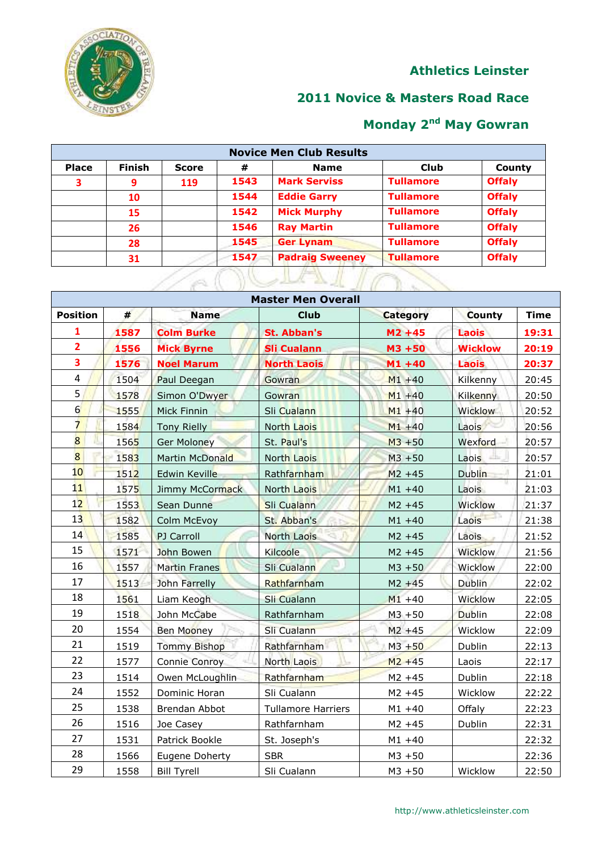

### **Novice & Masters Road Race**

| <b>Place</b> | <b>Finish</b> | <b>Score</b> | #    | <b>Name</b>            | <b>Club</b>      | County        |
|--------------|---------------|--------------|------|------------------------|------------------|---------------|
| 3            | 9             | 119          | 1543 | <b>Mark Serviss</b>    | <b>Tullamore</b> | <b>Offaly</b> |
|              | 10            |              | 1544 | <b>Eddie Garry</b>     | <b>Tullamore</b> | <b>Offaly</b> |
|              | 15            |              | 1542 | <b>Mick Murphy</b>     | <b>Tullamore</b> | <b>Offaly</b> |
|              | 26            |              | 1546 | <b>Ray Martin</b>      | <b>Tullamore</b> | <b>Offaly</b> |
|              | 28            |              | 1545 | <b>Ger Lynam</b>       | <b>Tullamore</b> | <b>Offaly</b> |
|              | 31            |              | 1547 | <b>Padraig Sweeney</b> | <b>Tullamore</b> | <b>Offaly</b> |

| <b>Master Men Overall</b> |            |                     |                           |                 |                 |             |  |  |
|---------------------------|------------|---------------------|---------------------------|-----------------|-----------------|-------------|--|--|
| <b>Position</b>           | $\pmb{\#}$ | <b>Name</b>         | <b>Club</b>               | <b>Category</b> | <b>County</b>   | <b>Time</b> |  |  |
| 1                         | 1587       | <b>Colm Burke</b>   | <b>St. Abban's</b>        | $M2 + 45$       | <b>Laois</b>    | 19:31       |  |  |
| $\overline{2}$            | 1556       | <b>Mick Byrne</b>   | <b>Sli Cualann</b>        | $M3 + 50$       | <b>Wicklow</b>  | 20:19       |  |  |
| $\overline{\mathbf{3}}$   | 1576       | <b>Noel Marum</b>   | <b>North Laois</b>        | $M1 + 40$       | <b>Laois</b>    | 20:37       |  |  |
| $\overline{4}$            | 1504       | Paul Deegan         | Gowran                    | $M1 + 40$       | Kilkenny        | 20:45       |  |  |
| 5                         | 1578       | Simon O'Dwyer       | Gowran                    | $M1 + 40$       | <b>Kilkenny</b> | 20:50       |  |  |
| $6 \overline{}$           | 1555       | Mick Finnin         | Sli Cualann               | $M1 + 40$       | Wicklow         | 20:52       |  |  |
| $\overline{7}$            | 1584       | <b>Tony Rielly</b>  | <b>North Laois</b>        | $M1 + 40$       | Laois           | 20:56       |  |  |
| $\overline{8}$            | 1565       | <b>Ger Moloney</b>  | St. Paul's                | $M3 + 50$       | Wexford         | 20:57       |  |  |
| $\overline{8}$            | 1583       | Martin McDonald     | <b>North Laois</b>        | $M3 + 50$       | Laois           | 20:57       |  |  |
| 10                        | 1512       | Edwin Keville       | Rathfarnham               | $M2 + 45$       | <b>Dublin</b>   | 21:01       |  |  |
| 11                        | 1575       | Jimmy McCormack     | <b>North Laois</b>        | $M1 + 40$       | Laois           | 21:03       |  |  |
| 12                        | 1553       | Sean Dunne          | Sli Cualann               | $M2 + 45$       | Wicklow         | 21:37       |  |  |
| 13                        | 1582       | Colm McEvoy         | St. Abban's               | $M1 + 40$       | Laois           | 21:38       |  |  |
| 14                        | 1585       | PJ Carroll          | <b>North Laois</b>        | $M2 + 45$       | Laois           | 21:52       |  |  |
| 15                        | 1571       | John Bowen          | Kilcoole                  | $M2 + 45$       | <b>Wicklow</b>  | 21:56       |  |  |
| 16                        | 1557       | Martin Franes       | Sli Cualann               | $M3 + 50$       | Wicklow         | 22:00       |  |  |
| 17                        | 1513       | John Farrelly       | Rathfarnham               | $M2 + 45$       | <b>Dublin</b>   | 22:02       |  |  |
| 18                        | 1561       | Liam Keogh          | Sli Cualann               | $M1 + 40$       | Wicklow         | 22:05       |  |  |
| 19                        | 1518       | John McCabe         | Rathfarnham               | $M3 + 50$       | <b>Dublin</b>   | 22:08       |  |  |
| 20                        | 1554       | <b>Ben Mooney</b>   | Sli Cualann               | $M2 + 45$       | Wicklow         | 22:09       |  |  |
| 21                        | 1519       | <b>Tommy Bishop</b> | Rathfarnham               | $M3 + 50$       | Dublin          | 22:13       |  |  |
| 22                        | 1577       | Connie Conroy       | <b>North Laois</b>        | $M2 + 45$       | Laois           | 22:17       |  |  |
| 23                        | 1514       | Owen McLoughlin     | Rathfarnham               | $M2 + 45$       | Dublin          | 22:18       |  |  |
| 24                        | 1552       | Dominic Horan       | Sli Cualann               | $M2 + 45$       | Wicklow         | 22:22       |  |  |
| 25                        | 1538       | Brendan Abbot       | <b>Tullamore Harriers</b> | $M1 + 40$       | Offaly          | 22:23       |  |  |
| 26                        | 1516       | Joe Casey           | Rathfarnham               | $M2 + 45$       | Dublin          | 22:31       |  |  |
| 27                        | 1531       | Patrick Bookle      | St. Joseph's              | $M1 + 40$       |                 | 22:32       |  |  |
| 28                        | 1566       | Eugene Doherty      | <b>SBR</b>                | $M_3 + 50$      |                 | 22:36       |  |  |
| 29                        | 1558       | <b>Bill Tyrell</b>  | Sli Cualann               | $M3 + 50$       | Wicklow         | 22:50       |  |  |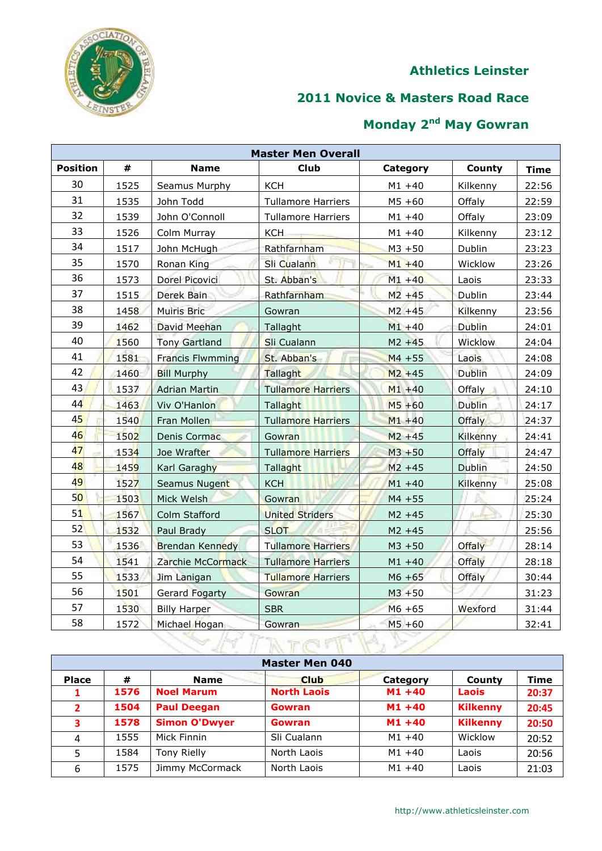

## **Novice & Masters Road Race**

|                 | <b>Master Men Overall</b> |                         |                           |           |                 |             |  |  |  |
|-----------------|---------------------------|-------------------------|---------------------------|-----------|-----------------|-------------|--|--|--|
| <b>Position</b> | #                         | <b>Name</b>             | <b>Club</b>               | Category  | County          | <b>Time</b> |  |  |  |
| 30              | 1525                      | Seamus Murphy           | <b>KCH</b>                | $M1 + 40$ | Kilkenny        | 22:56       |  |  |  |
| 31              | 1535                      | John Todd               | <b>Tullamore Harriers</b> | $M5 + 60$ | Offaly          | 22:59       |  |  |  |
| 32              | 1539                      | John O'Connoll          | <b>Tullamore Harriers</b> | $M1 + 40$ | Offaly          | 23:09       |  |  |  |
| 33              | 1526                      | Colm Murray             | <b>KCH</b>                | $M1 + 40$ | <b>Kilkenny</b> | 23:12       |  |  |  |
| 34              | 1517                      | John McHugh             | Rathfarnham               | $M3 + 50$ | Dublin          | 23:23       |  |  |  |
| 35              | 1570                      | Ronan King              | Sli Cualann               | $M1 + 40$ | Wicklow         | 23:26       |  |  |  |
| 36              | 1573                      | Dorel Picovici          | St. Abban's               | $M1 + 40$ | Laois           | 23:33       |  |  |  |
| 37              | 1515                      | Derek Bain              | Rathfarnham               | $M2 + 45$ | <b>Dublin</b>   | 23:44       |  |  |  |
| 38              | 1458                      | <b>Muiris Bric</b>      | Gowran                    | $M2 + 45$ | Kilkenny        | 23:56       |  |  |  |
| 39              | 1462                      | David Meehan            | Tallaght                  | $M1 + 40$ | <b>Dublin</b>   | 24:01       |  |  |  |
| 40              | 1560                      | <b>Tony Gartland</b>    | Sli Cualann               | $M2 + 45$ | <b>Wicklow</b>  | 24:04       |  |  |  |
| 41              | 1581                      | <b>Francis Flwmming</b> | St. Abban's               | $M4 + 55$ | Laois           | 24:08       |  |  |  |
| 42              | 1460                      | <b>Bill Murphy</b>      | Tallaght                  | $M2 + 45$ | <b>Dublin</b>   | 24:09       |  |  |  |
| 43              | 1537                      | <b>Adrian Martin</b>    | <b>Tullamore Harriers</b> | $M1 + 40$ | <b>Offaly</b>   | 24:10       |  |  |  |
| 44              | 1463                      | Viv O'Hanlon            | Tallaght                  | $M5 + 60$ | <b>Dublin</b>   | 24:17       |  |  |  |
| 45              | 1540                      | Fran Mollen             | <b>Tullamore Harriers</b> | $M1 + 40$ | <b>Offaly</b>   | 24:37       |  |  |  |
| 46              | 1502                      | Denis Cormac            | Gowran                    | $M2 + 45$ | Kilkenny        | 24:41       |  |  |  |
| 47              | 1534                      | Joe Wrafter             | <b>Tullamore Harriers</b> | $M3 + 50$ | Offaly          | 24:47       |  |  |  |
| 48              | 1459                      | Karl Garaghy            | Tallaght                  | $M2 + 45$ | <b>Dublin</b>   | 24:50       |  |  |  |
| 49              | 1527                      | Seamus Nugent           | <b>KCH</b>                | $M1 + 40$ | Kilkenny        | 25:08       |  |  |  |
| 50              | 1503                      | Mick Welsh              | Gowran                    | $M4 + 55$ |                 | 25:24       |  |  |  |
| 51              | 1567                      | Colm Stafford           | <b>United Striders</b>    | $M2 + 45$ |                 | 25:30       |  |  |  |
| 52              | 1532                      | Paul Brady              | <b>SLOT</b>               | $M2 + 45$ |                 | 25:56       |  |  |  |
| 53              | 1536                      | <b>Brendan Kennedy</b>  | <b>Tullamore Harriers</b> | $M3 + 50$ | Offaly          | 28:14       |  |  |  |
| 54              | 1541                      | Zarchie McCormack       | <b>Tullamore Harriers</b> | $M1 + 40$ | Offaly          | 28:18       |  |  |  |
| 55              | 1533                      | Jim Lanigan             | <b>Tullamore Harriers</b> | $M6 + 65$ | Offaly          | 30:44       |  |  |  |
| 56              | 1501                      | <b>Gerard Fogarty</b>   | Gowran                    | $M3 + 50$ |                 | 31:23       |  |  |  |
| 57              | 1530                      | <b>Billy Harper</b>     | <b>SBR</b>                | $M6 + 65$ | Wexford         | 31:44       |  |  |  |
| 58              | 1572                      | Michael Hogan           | Gowran                    | $M5 + 60$ |                 | 32:41       |  |  |  |
|                 |                           |                         |                           |           |                 |             |  |  |  |

|                | <b>Master Men 040</b> |                      |                    |           |                 |             |  |  |  |
|----------------|-----------------------|----------------------|--------------------|-----------|-----------------|-------------|--|--|--|
| <b>Place</b>   | #                     | <b>Name</b>          | <b>Club</b>        | Category  | <b>County</b>   | <b>Time</b> |  |  |  |
|                | 1576                  | <b>Noel Marum</b>    | <b>North Laois</b> | $M1 + 40$ | <b>Laois</b>    | 20:37       |  |  |  |
| $\overline{2}$ | 1504                  | <b>Paul Deegan</b>   | Gowran             | $M1 + 40$ | <b>Kilkenny</b> | 20:45       |  |  |  |
| 3              | 1578                  | <b>Simon O'Dwyer</b> | Gowran             | $M1 + 40$ | <b>Kilkenny</b> | 20:50       |  |  |  |
| 4              | 1555                  | Mick Finnin          | Sli Cualann        | $M1 + 40$ | Wicklow         | 20:52       |  |  |  |
| 5              | 1584                  | <b>Tony Rielly</b>   | North Laois        | $M1 + 40$ | Laois           | 20:56       |  |  |  |
| 6              | 1575                  | Jimmy McCormack      | North Laois        | $M1 + 40$ | Laois           | 21:03       |  |  |  |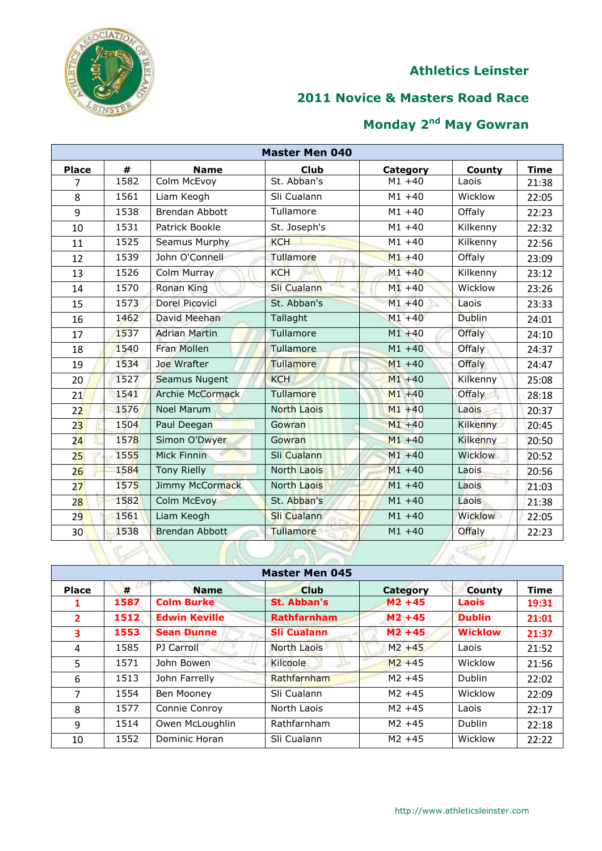

## **Novice & Masters Road Race**

| <b>Master Men 040</b> |      |                         |                    |           |                |             |  |  |
|-----------------------|------|-------------------------|--------------------|-----------|----------------|-------------|--|--|
| <b>Place</b>          | #    | <b>Name</b>             | <b>Club</b>        | Category  | County         | <b>Time</b> |  |  |
| $\overline{7}$        | 1582 | Colm McEvoy             | St. Abban's        | $M1 + 40$ | Laois          | 21:38       |  |  |
| 8                     | 1561 | Liam Keogh              | Sli Cualann        | $M1 + 40$ | Wicklow        | 22:05       |  |  |
| 9                     | 1538 | <b>Brendan Abbott</b>   | Tullamore          | $M1 + 40$ | Offaly         | 22:23       |  |  |
| 10                    | 1531 | Patrick Bookle          | St. Joseph's       | $M1 + 40$ | Kilkenny       | 22:32       |  |  |
| 11                    | 1525 | Seamus Murphy           | <b>KCH</b>         | $M1 + 40$ | Kilkenny       | 22:56       |  |  |
| 12                    | 1539 | John O'Connell          | Tullamore          | $M1 + 40$ | Offaly         | 23:09       |  |  |
| 13                    | 1526 | Colm Murray             | <b>KCH</b>         | $M1 + 40$ | Kilkenny       | 23:12       |  |  |
| 14                    | 1570 | Ronan King              | Sli Cualann        | $M1 + 40$ | Wicklow        | 23:26       |  |  |
| 15                    | 1573 | <b>Dorel Picovici</b>   | St. Abban's        | $M1 + 40$ | Laois          | 23:33       |  |  |
| 16                    | 1462 | David Meehan            | Tallaght           | $M1 + 40$ | <b>Dublin</b>  | 24:01       |  |  |
| 17                    | 1537 | <b>Adrian Martin</b>    | Tullamore          | $M1 + 40$ | Offaly         | 24:10       |  |  |
| 18                    | 1540 | <b>Fran Mollen</b>      | Tullamore          | $M1 + 40$ | Offaly         | 24:37       |  |  |
| 19                    | 1534 | Joe Wrafter             | Tullamore          | $M1 + 40$ | Offaly         | 24:47       |  |  |
| 20                    | 1527 | Seamus Nugent           | <b>KCH</b>         | $M1 + 40$ | Kilkenny       | 25:08       |  |  |
| 21                    | 1541 | <b>Archie McCormack</b> | Tullamore          | $M1 + 40$ | <b>Offaly</b>  | 28:18       |  |  |
| 22                    | 1576 | <b>Noel Marum</b>       | <b>North Laois</b> | $M1 + 40$ | Laois          | 20:37       |  |  |
| 2 <sub>3</sub>        | 1504 | Paul Deegan             | Gowran             | $M1 + 40$ | Kilkenny       | 20:45       |  |  |
| 24                    | 1578 | Simon O'Dwyer           | Gowran             | $M1 + 40$ | Kilkenny       | 20:50       |  |  |
| 25                    | 1555 | Mick Finnin             | Sli Cualann        | $M1 + 40$ | <b>Wicklow</b> | 20:52       |  |  |
| 26                    | 1584 | <b>Tony Rielly</b>      | <b>North Laois</b> | $M1 + 40$ | Laois          | 20:56       |  |  |
| 27                    | 1575 | Jimmy McCormack         | <b>North Laois</b> | $M1 + 40$ | Laois          | 21:03       |  |  |
| 28                    | 1582 | Colm McEvoy             | St. Abban's        | $M1 + 40$ | Laois          | 21:38       |  |  |
| 29                    | 1561 | Liam Keogh              | Sli Cualann        | $M1 + 40$ | Wicklow        | 22:05       |  |  |
| 30 <sup>°</sup>       | 1538 | Brendan Abbott          | Tullamore          | $M1 + 40$ | Offaly         | 22:23       |  |  |
|                       |      |                         |                    |           |                |             |  |  |

|                | <b>Master Men 045</b> |                      |                    |           |                |             |  |  |  |
|----------------|-----------------------|----------------------|--------------------|-----------|----------------|-------------|--|--|--|
| <b>Place</b>   | #                     | <b>Name</b>          | <b>Club</b>        | Category  | <b>County</b>  | <b>Time</b> |  |  |  |
|                | 1587                  | <b>Colm Burke</b>    | St. Abban's        | $M2 + 45$ | Laois          | 19:31       |  |  |  |
| $\overline{2}$ | 1512                  | <b>Edwin Keville</b> | <b>Rathfarnham</b> | $M2 + 45$ | <b>Dublin</b>  | 21:01       |  |  |  |
| 3              | 1553                  | <b>Sean Dunne</b>    | <b>Sli Cualann</b> | $M2 + 45$ | <b>Wicklow</b> | 21:37       |  |  |  |
| 4              | 1585                  | PJ Carroll           | North Laois        | $M2 + 45$ | Laois          | 21:52       |  |  |  |
| 5              | 1571                  | John Bowen           | Kilcoole           | $M2 + 45$ | Wicklow        | 21:56       |  |  |  |
| 6              | 1513                  | John Farrelly        | Rathfarnham        | $M2 + 45$ | <b>Dublin</b>  | 22:02       |  |  |  |
| $\overline{7}$ | 1554                  | Ben Mooney           | Sli Cualann        | $M2 + 45$ | Wicklow        | 22:09       |  |  |  |
| 8              | 1577                  | Connie Conroy        | North Laois        | $M2 + 45$ | Laois          | 22:17       |  |  |  |
| 9              | 1514                  | Owen McLoughlin      | Rathfarnham        | $M2 + 45$ | <b>Dublin</b>  | 22:18       |  |  |  |
| 10             | 1552                  | Dominic Horan        | Sli Cualann        | $M2 + 45$ | Wicklow        | 22:22       |  |  |  |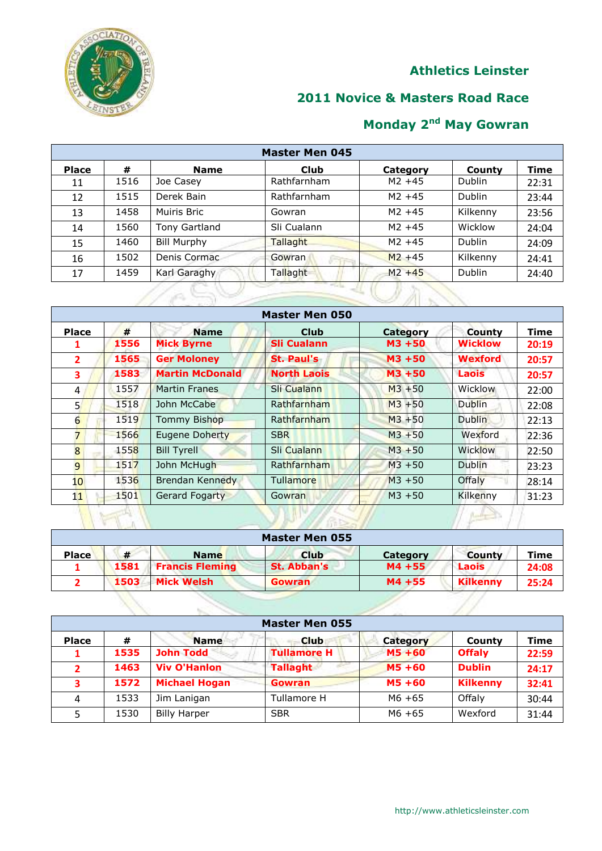# CIAT<sub>7</sub>

## **Athletics Leinster**

## **Novice & Masters Road Race**

# **Monday 2nd May Gowran**

|              | <b>Master Men 045</b> |                    |                 |           |               |             |  |  |  |
|--------------|-----------------------|--------------------|-----------------|-----------|---------------|-------------|--|--|--|
| <b>Place</b> | #                     | <b>Name</b>        | Club            | Category  | County        | <b>Time</b> |  |  |  |
| 11           | 1516                  | Joe Casey          | Rathfarnham     | $M2 + 45$ | <b>Dublin</b> | 22:31       |  |  |  |
| 12           | 1515                  | Derek Bain         | Rathfarnham     | $M2 + 45$ | Dublin        | 23:44       |  |  |  |
| 13           | 1458                  | Muiris Bric        | Gowran          | $M2 + 45$ | Kilkenny      | 23:56       |  |  |  |
| 14           | 1560                  | Tony Gartland      | Sli Cualann     | $M2 + 45$ | Wicklow       | 24:04       |  |  |  |
| 15           | 1460                  | <b>Bill Murphy</b> | Tallaght        | $M2 + 45$ | Dublin        | 24:09       |  |  |  |
| 16           | 1502                  | Denis Cormac       | <b>Gowran</b>   | $M2 + 45$ | Kilkenny      | 24:41       |  |  |  |
| 17           | 1459                  | Karl Garaghy       | <b>Tallaght</b> | $M2 + 45$ | Dublin        | 24:40       |  |  |  |
|              | <b>1944</b>           |                    |                 |           |               |             |  |  |  |

|                 |           |                                  | <b>Master Men 050</b>      |                    |                          |                      |
|-----------------|-----------|----------------------------------|----------------------------|--------------------|--------------------------|----------------------|
| <b>Place</b>    | #<br>1556 | <b>Name</b><br><b>Mick Byrne</b> | Club<br><b>Sli Cualann</b> | Category<br>M3 +50 | County<br><b>Wicklow</b> | <b>Time</b><br>20:19 |
| $\overline{2}$  | 1565      | <b>Ger Moloney</b>               | <b>St. Paul's</b>          | M3 +50             | <b>Wexford</b>           | 20:57                |
| 3               | 1583      | <b>Martin McDonald</b>           | <b>North Laois</b>         | $M3 + 50$          | <b>Laois</b>             | 20:57                |
| $\overline{4}$  | 1557      | <b>Martin Franes</b>             | Sli Cualann                | $M3 + 50$          | <b>Wicklow</b>           | 22:00                |
| 5 <sup>1</sup>  | 1518      | John McCabe                      | Rathfarnham                | $M3 + 50$          | <b>Dublin</b>            | 22:08                |
| 6               | 1519      | <b>Tommy Bishop</b>              | Rathfarnham                | $M3 + 50$          | <b>Dublin</b>            | 22:13                |
| 7               | 1566      | Eugene Doherty                   | <b>SBR</b>                 | $M3 + 50$          | Wexford                  | 22:36                |
| 8               | 1558      | <b>Bill Tyrell</b>               | Sli Cualann                | $M3 + 50$          | <b>Wicklow</b>           | 22:50                |
| 9               | 1517      | John McHugh                      | Rathfarnham                | $M3 + 50$          | Dublin                   | 23:23                |
| 10 <sup>°</sup> | 1536      | Brendan Kennedy                  | Tullamore                  | $M3 + 50$          | Offaly                   | 28:14                |
| 11              | 1501      | <b>Gerard Fogarty</b>            | <b>Gowran</b>              | $M3 + 50$          | Kilkenny                 | 31:23                |
|                 |           |                                  |                            |                    |                          |                      |

|              | <b>Master Men 055</b> |                        |               |                 |                 |       |  |  |  |  |
|--------------|-----------------------|------------------------|---------------|-----------------|-----------------|-------|--|--|--|--|
| <b>Place</b> | #                     | <b>Name</b>            | <b>Club</b>   | <b>Category</b> | <b>County</b>   | Time  |  |  |  |  |
|              | 1581                  | <b>Francis Fleming</b> | St. Abban's   | $M4 + 55$       | Laois           | 24:08 |  |  |  |  |
|              | 1503                  | <b>Mick Welsh</b>      | <b>Gowran</b> | M4 +55          | <b>Kilkenny</b> | 25:24 |  |  |  |  |

| <b>Master Men 055</b> |      |                      |                    |                 |                 |       |  |  |  |  |
|-----------------------|------|----------------------|--------------------|-----------------|-----------------|-------|--|--|--|--|
| <b>Place</b>          | #    | <b>Name</b>          | <b>Club</b>        | <b>Category</b> | County          | Time  |  |  |  |  |
|                       | 1535 | <b>John Todd</b>     | <b>Tullamore H</b> | $M5 + 60$       | <b>Offaly</b>   | 22:59 |  |  |  |  |
|                       | 1463 | <b>Viv O'Hanlon</b>  | <b>Tallaght</b>    | $M5 + 60$       | <b>Dublin</b>   | 24:17 |  |  |  |  |
| 3                     | 1572 | <b>Michael Hogan</b> | <b>Gowran</b>      | M5 +60          | <b>Kilkenny</b> | 32:41 |  |  |  |  |
| 4                     | 1533 | Jim Lanigan          | Tullamore H        | $M6 + 65$       | Offalv          | 30:44 |  |  |  |  |
| 5                     | 1530 | <b>Billy Harper</b>  | <b>SBR</b>         | $M6 + 65$       | Wexford         | 31:44 |  |  |  |  |

Ų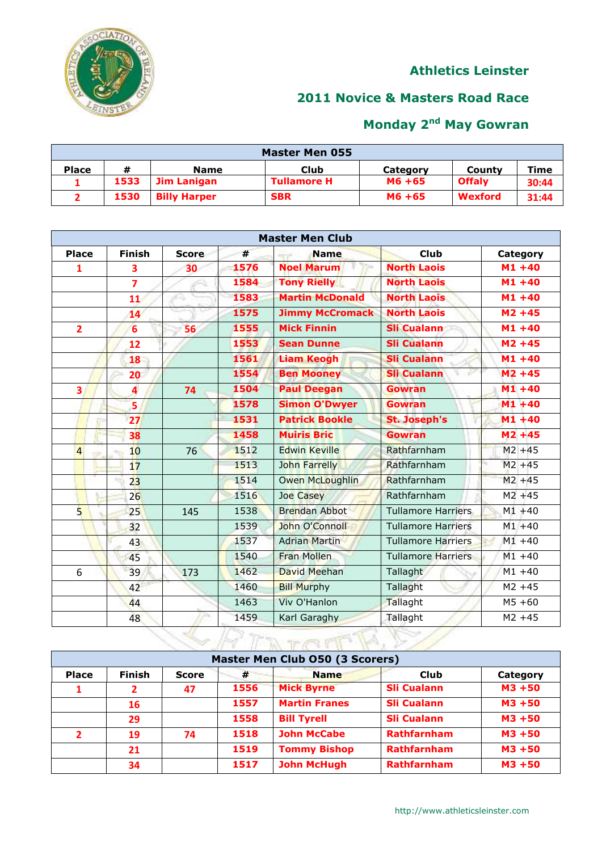

## **Novice & Masters Road Race**

| <b>Master Men 055</b> |      |                     |                    |          |                |       |  |  |
|-----------------------|------|---------------------|--------------------|----------|----------------|-------|--|--|
| <b>Place</b>          | #    | <b>Name</b>         | Club               | Category | County         | Time  |  |  |
|                       | 1533 | Jim Lanigan         | <b>Tullamore H</b> | M6 +65   | <b>Offalv</b>  | 30:44 |  |  |
|                       | 1530 | <b>Billy Harper</b> | <b>SBR</b>         | M6 +65   | <b>Wexford</b> | 31:44 |  |  |

|                |                         |              |      | <b>Master Men Club</b> |                           |           |  |  |  |  |  |
|----------------|-------------------------|--------------|------|------------------------|---------------------------|-----------|--|--|--|--|--|
| <b>Place</b>   | <b>Finish</b>           | <b>Score</b> | #    | <b>Name</b>            | <b>Club</b>               | Category  |  |  |  |  |  |
| $\overline{1}$ | 3                       | 30           | 1576 | <b>Noel Marum</b>      | <b>North Laois</b>        | $M1 + 40$ |  |  |  |  |  |
|                | $\overline{7}$          |              | 1584 | <b>Tony Rielly</b>     | <b>North Laois</b>        | $M1 + 40$ |  |  |  |  |  |
|                | 11                      |              | 1583 | <b>Martin McDonald</b> | <b>North Laois</b>        | $M1 + 40$ |  |  |  |  |  |
|                | 14                      |              | 1575 | <b>Jimmy McCromack</b> | <b>North Laois</b>        | $M2 + 45$ |  |  |  |  |  |
| $\overline{2}$ | $6\overline{6}$         | 56           | 1555 | <b>Mick Finnin</b>     | <b>Sli Cualann</b>        | $M1 + 40$ |  |  |  |  |  |
|                | 12                      |              | 1553 | <b>Sean Dunne</b>      | <b>Sli Cualann</b>        | $M2 + 45$ |  |  |  |  |  |
|                | 18                      |              | 1561 | <b>Liam Keogh</b>      | <b>Sli Cualann</b>        | $M1 + 40$ |  |  |  |  |  |
|                | 20                      |              | 1554 | <b>Ben Mooney</b>      | <b>Sli Cualann</b>        | $M2 + 45$ |  |  |  |  |  |
| 3              | $\overline{\mathbf{4}}$ | 74           | 1504 | <b>Paul Deegan</b>     | <b>Gowran</b>             | $M1 + 40$ |  |  |  |  |  |
|                | 5                       |              | 1578 | <b>Simon O'Dwyer</b>   | <b>Gowran</b>             | $M1 + 40$ |  |  |  |  |  |
|                | 27                      |              | 1531 | <b>Patrick Bookle</b>  | <b>St. Joseph's</b>       | $M1 + 40$ |  |  |  |  |  |
|                | 38                      |              | 1458 | <b>Muiris Bric</b>     | <b>Gowran</b>             | $M2 + 45$ |  |  |  |  |  |
| $\overline{4}$ | 10 <sup>1</sup>         | 76           | 1512 | <b>Edwin Keville</b>   | Rathfarnham               | $M2 + 45$ |  |  |  |  |  |
|                | 17                      |              | 1513 | <b>John Farrelly</b>   | Rathfarnham               | $M2 + 45$ |  |  |  |  |  |
|                | 23                      |              | 1514 | <b>Owen McLoughlin</b> | Rathfarnham               | $M2 + 45$ |  |  |  |  |  |
|                | 26                      |              | 1516 | <b>Joe Casey</b>       | Rathfarnham               | $M2 + 45$ |  |  |  |  |  |
| 5              | 25                      | 145          | 1538 | <b>Brendan Abbot</b>   | <b>Tullamore Harriers</b> | $M1 + 40$ |  |  |  |  |  |
|                | 32                      |              | 1539 | John O'Connoll         | <b>Tullamore Harriers</b> | $M1 + 40$ |  |  |  |  |  |
|                | 43                      |              | 1537 | <b>Adrian Martin</b>   | <b>Tullamore Harriers</b> | $M1 + 40$ |  |  |  |  |  |
|                | 45                      |              | 1540 | <b>Fran Mollen</b>     | <b>Tullamore Harriers</b> | $M1 + 40$ |  |  |  |  |  |
| 6              | 39                      | 173          | 1462 | David Meehan           | Tallaght                  | $M1 + 40$ |  |  |  |  |  |
|                | 42                      |              | 1460 | <b>Bill Murphy</b>     | Tallaght                  | $M2 + 45$ |  |  |  |  |  |
|                | 44                      |              | 1463 | <b>Viv O'Hanlon</b>    | Tallaght                  | $M5 + 60$ |  |  |  |  |  |
|                | 48                      |              | 1459 | Karl Garaghy           | Tallaght                  | $M2 + 45$ |  |  |  |  |  |

| Master Men Club 050 (3 Scorers) |               |              |      |                      |                    |           |  |  |
|---------------------------------|---------------|--------------|------|----------------------|--------------------|-----------|--|--|
| <b>Place</b>                    | <b>Finish</b> | <b>Score</b> | #    | <b>Name</b>          | Club               | Category  |  |  |
|                                 |               | 47           | 1556 | <b>Mick Byrne</b>    | <b>Sli Cualann</b> | $M3 + 50$ |  |  |
|                                 | 16            |              | 1557 | <b>Martin Franes</b> | <b>Sli Cualann</b> | $M3 + 50$ |  |  |
|                                 | 29            |              | 1558 | <b>Bill Tyrell</b>   | <b>Sli Cualann</b> | $M3 + 50$ |  |  |
| $\mathbf{2}$                    | 19            | 74           | 1518 | <b>John McCabe</b>   | <b>Rathfarnham</b> | $M3 + 50$ |  |  |
|                                 | 21            |              | 1519 | <b>Tommy Bishop</b>  | <b>Rathfarnham</b> | $M3 + 50$ |  |  |
|                                 | 34            |              | 1517 | <b>John McHugh</b>   | <b>Rathfarnham</b> | $M3 + 50$ |  |  |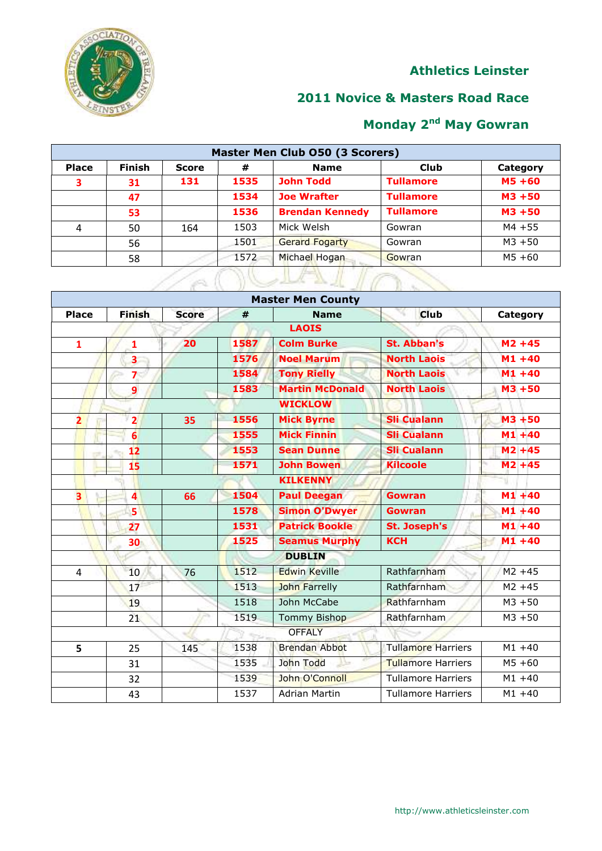

### **2011 Novice & Masters Road Race**

| Master Men Club 050 (3 Scorers) |        |       |      |                        |                  |           |  |
|---------------------------------|--------|-------|------|------------------------|------------------|-----------|--|
| <b>Place</b>                    | Finish | Score | #    | <b>Name</b>            | <b>Club</b>      | Category  |  |
| 3                               | 31     | 131   | 1535 | <b>John Todd</b>       | <b>Tullamore</b> | $MS + 60$ |  |
|                                 | 47     |       | 1534 | <b>Joe Wrafter</b>     | <b>Tullamore</b> | $M3 + 50$ |  |
|                                 | 53     |       | 1536 | <b>Brendan Kennedy</b> | <b>Tullamore</b> | $M3 + 50$ |  |
| 4                               | 50     | 164   | 1503 | Mick Welsh             | Gowran           | $M4 + 55$ |  |
|                                 | 56     |       | 1501 | <b>Gerard Fogarty</b>  | Gowran           | $M3 + 50$ |  |
|                                 | 58     |       | 1572 | Michael Hogan          | Gowran           | $M5 + 60$ |  |
|                                 |        | Ä     |      |                        |                  |           |  |

|              |                         |              |      | <b>Master Men County</b> |                           |           |
|--------------|-------------------------|--------------|------|--------------------------|---------------------------|-----------|
| <b>Place</b> | <b>Finish</b>           | <b>Score</b> | #    | <b>Name</b>              | <b>Club</b>               | Category  |
|              |                         |              |      | <b>LAOIS</b>             |                           |           |
| $\mathbf{1}$ | 1                       | 20           | 1587 | <b>Colm Burke</b>        | <b>St. Abban's</b>        | $M2 + 45$ |
|              | $\overline{\mathbf{3}}$ |              | 1576 | <b>Noel Marum</b>        | <b>North Laois</b>        | $M1 + 40$ |
|              | $\overline{7}$          |              | 1584 | <b>Tony Rielly</b>       | <b>North Laois</b>        | $M1 + 40$ |
|              | $\overline{9}$          |              | 1583 | <b>Martin McDonald</b>   | <b>North Laois</b>        | $M3 + 50$ |
|              |                         |              |      | <b>WICKLOW</b>           |                           |           |
| 2            | $\overline{2}$          | 35           | 1556 | <b>Mick Byrne</b>        | <b>Sli Cualann</b>        | $M3 + 50$ |
|              | $\overline{6}$          |              | 1555 | <b>Mick Finnin</b>       | <b>Sli Cualann</b>        | $M1 + 40$ |
|              | 12                      |              | 1553 | <b>Sean Dunne</b>        | <b>Sli Cualann</b>        | $M2 + 45$ |
|              | 15                      |              | 1571 | <b>John Bowen</b>        | <b>Kilcoole</b>           | $M2 + 45$ |
|              |                         |              |      | <b>KILKENNY</b>          |                           | ٦I        |
| 3            | $\overline{\mathbf{4}}$ | 66           | 1504 | <b>Paul Deegan</b>       | <b>Gowran</b>             | $M1 + 40$ |
|              | 5                       |              | 1578 | <b>Simon O'Dwyer</b>     | <b>Gowran</b>             | $M1 + 40$ |
|              | 27                      |              | 1531 | <b>Patrick Bookle</b>    | <b>St. Joseph's</b>       | $M1+40$   |
|              | 30                      |              | 1525 | <b>Seamus Murphy</b>     | <b>KCH</b>                | $M1 + 40$ |
|              |                         |              |      | <b>DUBLIN</b>            |                           |           |
| 4            | 10                      | 76           | 1512 | <b>Edwin Keville</b>     | Rathfarnham               | $M2 + 45$ |
|              | 17                      |              | 1513 | <b>John Farrelly</b>     | Rathfarnham               | $M2 + 45$ |
|              | 19                      |              | 1518 | John McCabe              | Rathfarnham               | $M3 + 50$ |
|              | 21                      |              | 1519 | <b>Tommy Bishop</b>      | Rathfarnham               | $M3 + 50$ |
|              |                         |              |      | <b>OFFALY</b>            |                           |           |
| 5            | 25                      | 145          | 1538 | <b>Brendan Abbot</b>     | <b>Tullamore Harriers</b> | $M1 + 40$ |
|              | 31                      |              | 1535 | John Todd<br>ᄔ           | <b>Tullamore Harriers</b> | $M5 + 60$ |
|              | 32                      |              | 1539 | John O'Connoll           | <b>Tullamore Harriers</b> | $M1 + 40$ |
|              | 43                      |              | 1537 | <b>Adrian Martin</b>     | <b>Tullamore Harriers</b> | $M1 + 40$ |